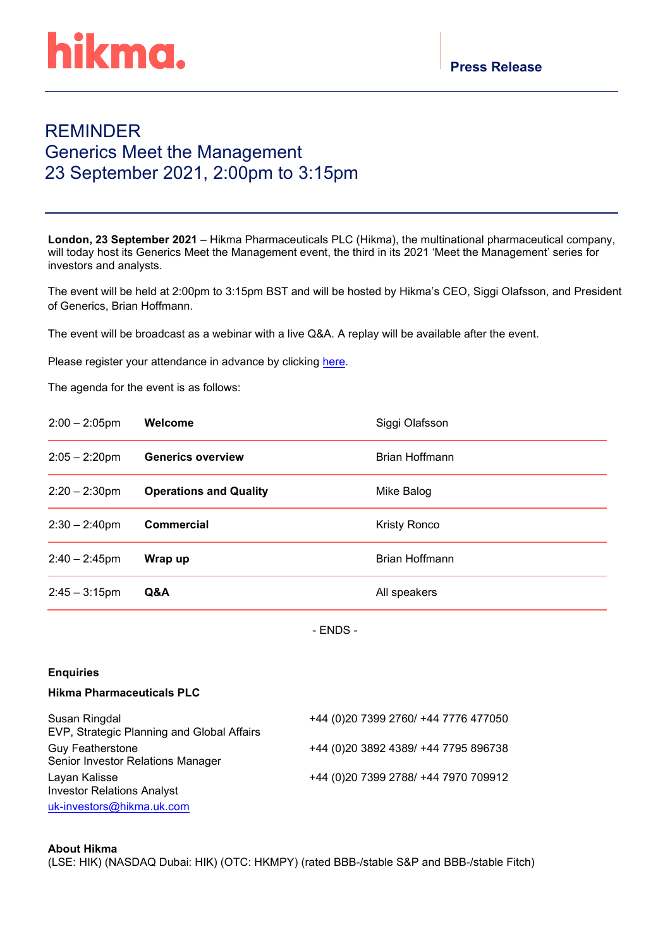# hikma.

# REMINDER Generics Meet the Management 23 September 2021, 2:00pm to 3:15pm

**London, 23 September 2021** – Hikma Pharmaceuticals PLC (Hikma), the multinational pharmaceutical company, will today host its Generics Meet the Management event, the third in its 2021 'Meet the Management' series for investors and analysts.

The event will be held at 2:00pm to 3:15pm BST and will be hosted by Hikma's CEO, Siggi Olafsson, and President of Generics, Brian Hoffmann.

The event will be broadcast as a webinar with a live Q&A. A replay will be available after the event.

Please register your attendance in advance by clicking [here.](https://hikma.zoom.us/webinar/register/WN_vAM4UwagTQijiSBl-KYeqQ)

The agenda for the event is as follows:

| $2:00 - 2:05$ pm | Welcome                       | Siggi Olafsson      |
|------------------|-------------------------------|---------------------|
| $2:05 - 2:20$ pm | <b>Generics overview</b>      | Brian Hoffmann      |
| $2:20 - 2:30$ pm | <b>Operations and Quality</b> | Mike Balog          |
| $2:30 - 2:40$ pm | <b>Commercial</b>             | <b>Kristy Ronco</b> |
| $2:40 - 2:45$ pm | Wrap up                       | Brian Hoffmann      |
| $2:45 - 3:15$ pm | Q&A                           | All speakers        |

- ENDS -

## **Enquiries**

### **Hikma Pharmaceuticals PLC**

| Susan Ringdal<br>EVP, Strategic Planning and Global Affairs  | +44 (0)20 7399 2760/ +44 7776 477050 |
|--------------------------------------------------------------|--------------------------------------|
| <b>Guy Featherstone</b><br>Senior Investor Relations Manager | +44 (0)20 3892 4389/ +44 7795 896738 |
| Layan Kalisse<br><b>Investor Relations Analyst</b>           | +44 (0)20 7399 2788/ +44 7970 709912 |
| uk-investors@hikma.uk.com                                    |                                      |

### **About Hikma**

(LSE: HIK) (NASDAQ Dubai: HIK) (OTC: HKMPY) (rated BBB-/stable S&P and BBB-/stable Fitch)